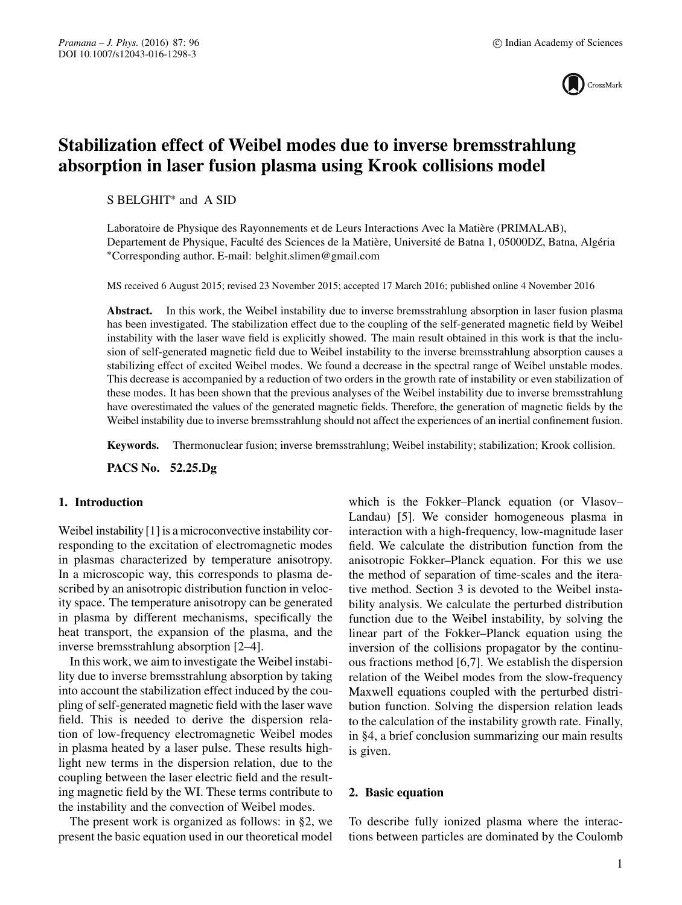

# **Stabilization effect of Weibel modes due to inverse bremsstrahlung absorption in laser fusion plasma using Krook collisions model**

S BELGHIT<sup>\*</sup> and A SID

Laboratoire de Physique des Rayonnements et de Leurs Interactions Avec la Matière (PRIMALAB), Departement de Physique, Faculté des Sciences de la Matière, Université de Batna 1, 05000DZ, Batna, Algéria ∗Corresponding author. E-mail: belghit.slimen@gmail.com

MS received 6 August 2015; revised 23 November 2015; accepted 17 March 2016; published online 4 November 2016

**Abstract.** In this work, the Weibel instability due to inverse bremsstrahlung absorption in laser fusion plasma has been investigated. The stabilization effect due to the coupling of the self-generated magnetic field by Weibel instability with the laser wave field is explicitly showed. The main result obtained in this work is that the inclusion of self-generated magnetic field due to Weibel instability to the inverse bremsstrahlung absorption causes a stabilizing effect of excited Weibel modes. We found a decrease in the spectral range of Weibel unstable modes. This decrease is accompanied by a reduction of two orders in the growth rate of instability or even stabilization of these modes. It has been shown that the previous analyses of the Weibel instability due to inverse bremsstrahlung have overestimated the values of the generated magnetic fields. Therefore, the generation of magnetic fields by the Weibel instability due to inverse bremsstrahlung should not affect the experiences of an inertial confinement fusion.

**Keywords.** Thermonuclear fusion; inverse bremsstrahlung; Weibel instability; stabilization; Krook collision.

**PACS No. 52.25.Dg**

## **1. Introduction**

Weibel instability [1] is a microconvective instability corresponding to the excitation of electromagnetic modes in plasmas characterized by temperature anisotropy. In a microscopic way, this corresponds to plasma described by an anisotropic distribution function in velocity space. The temperature anisotropy can be generated in plasma by different mechanisms, specifically the heat transport, the expansion of the plasma, and the inverse bremsstrahlung absorption [2–4].

In this work, we aim to investigate the Weibel instability due to inverse bremsstrahlung absorption by taking into account the stabilization effect induced by the coupling of self-generated magnetic field with the laser wave field. This is needed to derive the dispersion relation of low-frequency electromagnetic Weibel modes in plasma heated by a laser pulse. These results highlight new terms in the dispersion relation, due to the coupling between the laser electric field and the resulting magnetic field by the WI. These terms contribute to the instability and the convection of Weibel modes.

The present work is organized as follows: in §2, we present the basic equation used in our theoretical model which is the Fokker–Planck equation (or Vlasov– Landau) [5]. We consider homogeneous plasma in interaction with a high-frequency, low-magnitude laser field. We calculate the distribution function from the anisotropic Fokker–Planck equation. For this we use the method of separation of time-scales and the iterative method. Section 3 is devoted to the Weibel instability analysis. We calculate the perturbed distribution function due to the Weibel instability, by solving the linear part of the Fokker–Planck equation using the inversion of the collisions propagator by the continuous fractions method [6,7]. We establish the dispersion relation of the Weibel modes from the slow-frequency Maxwell equations coupled with the perturbed distribution function. Solving the dispersion relation leads to the calculation of the instability growth rate. Finally, in §4, a brief conclusion summarizing our main results is given.

## **2. Basic equation**

To describe fully ionized plasma where the interactions between particles are dominated by the Coulomb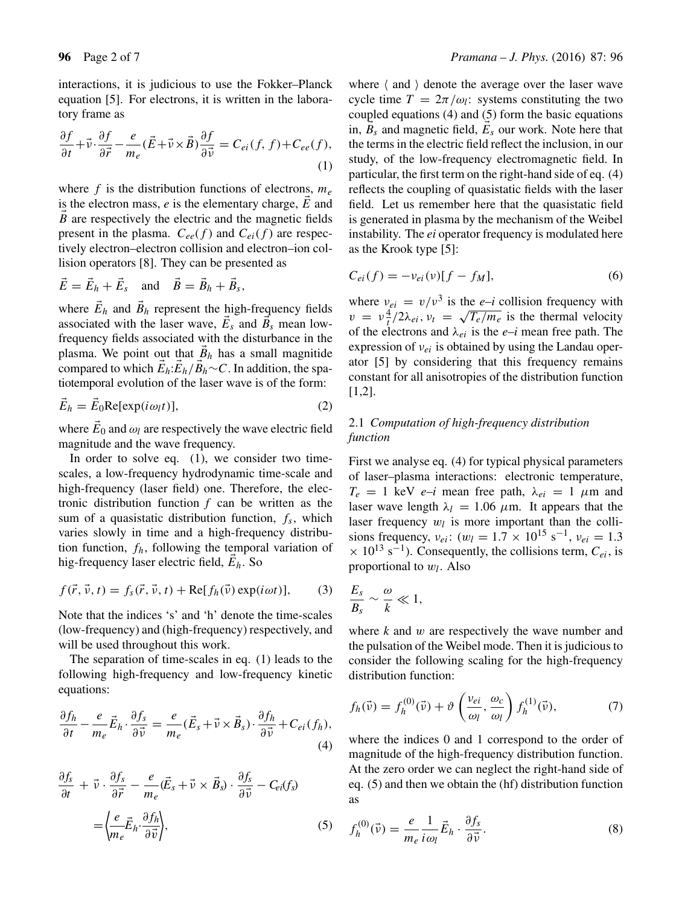interactions, it is judicious to use the Fokker–Planck equation [5]. For electrons, it is written in the laboratory frame as

$$
\frac{\partial f}{\partial t} + \vec{v} \cdot \frac{\partial f}{\partial \vec{r}} - \frac{e}{m_e} (\vec{E} + \vec{v} \times \vec{B}) \frac{\partial f}{\partial \vec{v}} = C_{ei}(f, f) + C_{ee}(f),\tag{1}
$$

where f is the distribution functions of electrons,  $m_e$ is the electron mass,  $e$  is the elementary charge,  $E$  and B are respectively the electric and the magnetic fields present in the plasma.  $C_{ee}(f)$  and  $C_{ei}(f)$  are respectively electron–electron collision and electron–ion collision operators [8]. They can be presented as

$$
\vec{E} = \vec{E}_h + \vec{E}_s \quad \text{and} \quad \vec{B} = \vec{B}_h + \vec{B}_s,
$$

where  $\vec{E}_h$  and  $\vec{B}_h$  represent the high-frequency fields associated with the laser wave,  $\vec{E}_s$  and  $\vec{B}_s$  mean lowfrequency fields associated with the disturbance in the plasma. We point out that  $B_h$  has a small magnitude compared to which  $\vec{E}_h$ : $\vec{E}_h/\vec{B}_h \sim C$ . In addition, the spatiotemporal evolution of the laser wave is of the form:

$$
\vec{E}_h = \vec{E}_0 \text{Re}[\exp(i\omega_l t)],\tag{2}
$$

where  $\vec{E}_0$  and  $\omega_l$  are respectively the wave electric field magnitude and the wave frequency.

In order to solve eq. (1), we consider two timescales, a low-frequency hydrodynamic time-scale and high-frequency (laser field) one. Therefore, the electronic distribution function *f* can be written as the sum of a quasistatic distribution function,  $f_s$ , which varies slowly in time and a high-frequency distribution function,  $f_h$ , following the temporal variation of hig-frequency laser electric field,  $E_h$ . So

$$
f(\vec{r}, \vec{v}, t) = f_s(\vec{r}, \vec{v}, t) + \text{Re}[f_h(\vec{v}) \exp(i\omega t)], \qquad (3)
$$

Note that the indices 's' and 'h' denote the time-scales (low-frequency) and (high-frequency) respectively, and will be used throughout this work.

The separation of time-scales in eq. (1) leads to the following high-frequency and low-frequency kinetic equations:

$$
\frac{\partial f_h}{\partial t} - \frac{e}{m_e} \vec{E}_h \cdot \frac{\partial f_s}{\partial \vec{\nu}} = \frac{e}{m_e} (\vec{E}_s + \vec{\nu} \times \vec{B}_s) \cdot \frac{\partial f_h}{\partial \vec{\nu}} + C_{ei}(f_h),\tag{4}
$$

$$
\frac{\partial f_s}{\partial t} + \vec{v} \cdot \frac{\partial f_s}{\partial \vec{r}} - \frac{e}{m_e} (\vec{E}_s + \vec{v} \times \vec{B}_s) \cdot \frac{\partial f_s}{\partial \vec{v}} - C_{ei}(f_s)
$$

$$
= \left\langle \frac{e}{m_e} \vec{E}_h \cdot \frac{\partial f_h}{\partial \vec{v}} \right\rangle, \tag{5}
$$

where  $\langle$  and  $\rangle$  denote the average over the laser wave cycle time  $T = 2\pi/\omega_l$ : systems constituting the two coupled equations (4) and (5) form the basic equations in,  $B_s$  and magnetic field,  $E_s$  our work. Note here that the terms in the electric field reflect the inclusion, in our study, of the low-frequency electromagnetic field. In particular, the first term on the right-hand side of eq. (4) reflects the coupling of quasistatic fields with the laser field. Let us remember here that the quasistatic field is generated in plasma by the mechanism of the Weibel instability. The *ei* operator frequency is modulated here as the Krook type [5]:

$$
C_{ei}(f) = -\nu_{ei}(\nu)[f - f_M],\tag{6}
$$

where  $v_{ei} = v/v^3$  is the *e-i* collision frequency with  $v = v_{\frac{1}{t}}^4/2\lambda_{ei}$ ,  $v_t = \sqrt{T_e/m_e}$  is the thermal velocity of the electrons and  $\lambda_{ei}$  is the *e*–*i* mean free path. The expression of  $v_{ei}$  is obtained by using the Landau operator [5] by considering that this frequency remains constant for all anisotropies of the distribution function [1,2].

# 2.1 *Computation of high-frequency distribution function*

First we analyse eq. (4) for typical physical parameters of laser–plasma interactions: electronic temperature,  $T_e = 1$  keV  $e-i$  mean free path,  $\lambda_{ei} = 1$   $\mu$ m and laser wave length  $\lambda_l = 1.06 \mu$ m. It appears that the laser frequency  $w_l$  is more important than the collisions frequency,  $v_{ei}$ :  $(w_l = 1.7 \times 10^{15} \text{ s}^{-1}, v_{ei} = 1.3$  $\times$  10<sup>13</sup> s<sup>-1</sup>). Consequently, the collisions term,  $C_{ei}$ , is proportional to  $w_l$ . Also

$$
\frac{E_s}{B_s} \sim \frac{\omega}{k} \ll 1,
$$

where *k* and w are respectively the wave number and the pulsation of the Weibel mode. Then it is judicious to consider the following scaling for the high-frequency distribution function:

$$
f_h(\vec{v}) = f_h^{(0)}(\vec{v}) + \vartheta \left(\frac{v_{ei}}{\omega_l}, \frac{\omega_c}{\omega_l}\right) f_h^{(1)}(\vec{v}),\tag{7}
$$

where the indices 0 and 1 correspond to the order of magnitude of the high-frequency distribution function. At the zero order we can neglect the right-hand side of eq. (5) and then we obtain the (hf) distribution function as

$$
f_h^{(0)}(\vec{\nu}) = \frac{e}{m_e} \frac{1}{i\omega_l} \vec{E}_h \cdot \frac{\partial f_s}{\partial \vec{\nu}}.
$$
 (8)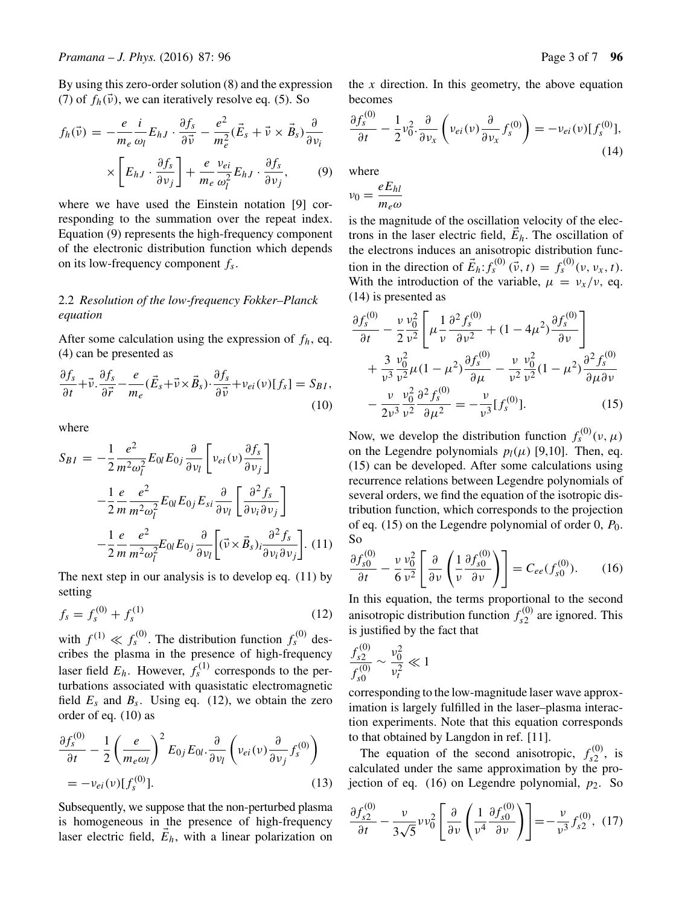By using this zero-order solution (8) and the expression (7) of  $f_h(\vec{v})$ , we can iteratively resolve eq. (5). So

$$
f_h(\vec{v}) = -\frac{e}{m_e} \frac{i}{\omega_l} E_{hJ} \cdot \frac{\partial f_s}{\partial \vec{v}} - \frac{e^2}{m_e^2} (\vec{E}_s + \vec{v} \times \vec{B}_s) \frac{\partial}{\partial v_i}
$$

$$
\times \left[ E_{hJ} \cdot \frac{\partial f_s}{\partial v_j} \right] + \frac{e}{m_e} \frac{v_{ei}}{\omega_l^2} E_{hJ} \cdot \frac{\partial f_s}{\partial v_j}, \qquad (9)
$$

where we have used the Einstein notation [9] corresponding to the summation over the repeat index. Equation (9) represents the high-frequency component of the electronic distribution function which depends on its low-frequency component  $f_s$ .

# 2.2 *Resolution of the low-frequency Fokker–Planck equation*

After some calculation using the expression of  $f_h$ , eq. (4) can be presented as

$$
\frac{\partial f_s}{\partial t} + \vec{v} \cdot \frac{\partial f_s}{\partial \vec{r}} - \frac{e}{m_e} (\vec{E}_s + \vec{v} \times \vec{B}_s) \cdot \frac{\partial f_s}{\partial \vec{v}} + v_{ei}(v)[f_s] = S_{BI},\tag{10}
$$

where

$$
S_{BI} = -\frac{1}{2} \frac{e^2}{m^2 \omega_l^2} E_{0l} E_{0j} \frac{\partial}{\partial v_l} \left[ v_{ei}(v) \frac{\partial f_s}{\partial v_j} \right]
$$

$$
- \frac{1}{2} \frac{e}{m} \frac{e^2}{m^2 \omega_l^2} E_{0l} E_{0j} E_{si} \frac{\partial}{\partial v_l} \left[ \frac{\partial^2 f_s}{\partial v_i \partial v_j} \right]
$$

$$
- \frac{1}{2} \frac{e}{m} \frac{e^2}{m^2 \omega_l^2} E_{0l} E_{0j} \frac{\partial}{\partial v_l} \left[ (\vec{v} \times \vec{B}_s)_{i} \frac{\partial^2 f_s}{\partial v_i \partial v_j} \right]. (11)
$$

The next step in our analysis is to develop eq. (11) by setting

$$
f_s = f_s^{(0)} + f_s^{(1)} \tag{12}
$$

with  $f^{(1)} \ll f_s^{(0)}$ . The distribution function  $f_s^{(0)}$  describes the plasma in the presence of high-frequency laser field  $E_h$ . However,  $f_s^{(1)}$  corresponds to the perturbations associated with quasistatic electromagnetic field  $E_s$  and  $B_s$ . Using eq. (12), we obtain the zero order of eq. (10) as

$$
\frac{\partial f_s^{(0)}}{\partial t} - \frac{1}{2} \left( \frac{e}{m_e \omega_l} \right)^2 E_{0j} E_{0l} \cdot \frac{\partial}{\partial v_l} \left( v_{ei}(v) \frac{\partial}{\partial v_j} f_s^{(0)} \right)
$$
  
=  $-v_{ei}(v) [f_s^{(0)}].$  (13)

Subsequently, we suppose that the non-perturbed plasma is homogeneous in the presence of high-frequency laser electric field,  $\vec{E}_h$ , with a linear polarization on the  $x$  direction. In this geometry, the above equation becomes  $\sqrt{2}$ 

$$
\frac{\partial f_s^{(0)}}{\partial t} - \frac{1}{2} \nu_0^2 \cdot \frac{\partial}{\partial \nu_x} \left( \nu_{ei}(\nu) \frac{\partial}{\partial \nu_x} f_s^{(0)} \right) = -\nu_{ei}(\nu) [f_s^{(0)}], \tag{14}
$$

where

$$
v_0 = \frac{eE_{hl}}{m_e \omega}
$$

is the magnitude of the oscillation velocity of the electrons in the laser electric field,  $E_h$ . The oscillation of the electrons induces an anisotropic distribution function in the direction of  $\vec{E}_h$ :  $f_s^{(0)}(\vec{v},t) = f_s^{(0)}(v,v_x,t)$ . With the introduction of the variable,  $\mu = v_x/v$ , eq. (14) is presented as

$$
\frac{\partial f_s^{(0)}}{\partial t} - \frac{\nu}{2} \frac{\nu_0^2}{\nu^2} \left[ \mu \frac{1}{\nu} \frac{\partial^2 f_s^{(0)}}{\partial \nu^2} + (1 - 4\mu^2) \frac{\partial f_s^{(0)}}{\partial \nu} \right] + \frac{3}{\nu^3} \frac{\nu_0^2}{\nu^2} \mu (1 - \mu^2) \frac{\partial f_s^{(0)}}{\partial \mu} - \frac{\nu}{\nu^2} \frac{\nu_0^2}{\nu^2} (1 - \mu^2) \frac{\partial^2 f_s^{(0)}}{\partial \mu \partial \nu} - \frac{\nu}{2 \nu^3} \frac{\nu_0^2}{\nu^2} \frac{\partial^2 f_s^{(0)}}{\partial \mu^2} = -\frac{\nu}{\nu^3} [f_s^{(0)}].
$$
\n(15)

Now, we develop the distribution function  $f_s^{(0)}(v, \mu)$ on the Legendre polynomials  $p_l(\mu)$  [9,10]. Then, eq. (15) can be developed. After some calculations using recurrence relations between Legendre polynomials of several orders, we find the equation of the isotropic distribution function, which corresponds to the projection of eq. (15) on the Legendre polynomial of order 0,  $P_0$ . So

$$
\frac{\partial f_{s0}^{(0)}}{\partial t} - \frac{\nu}{6} \frac{\nu_0^2}{\nu^2} \left[ \frac{\partial}{\partial \nu} \left( \frac{1}{\nu} \frac{\partial f_{s0}^{(0)}}{\partial \nu} \right) \right] = C_{ee}(f_{s0}^{(0)}).
$$
 (16)

In this equation, the terms proportional to the second anisotropic distribution function  $f_{s2}^{(0)}$  are ignored. This is justified by the fact that

$$
\frac{f_{s2}^{(0)}}{f_{s0}^{(0)}} \sim \frac{v_0^2}{v_t^2} \ll 1
$$

corresponding to the low-magnitude laser wave approximation is largely fulfilled in the laser–plasma interaction experiments. Note that this equation corresponds to that obtained by Langdon in ref. [11].

The equation of the second anisotropic,  $f_{s2}^{(0)}$ , is calculated under the same approximation by the projection of eq. (16) on Legendre polynomial,  $p_2$ . So

$$
\frac{\partial f_{s2}^{(0)}}{\partial t} - \frac{\nu}{3\sqrt{5}}\nu\nu_0^2 \left[\frac{\partial}{\partial \nu} \left(\frac{1}{\nu^4} \frac{\partial f_{s0}^{(0)}}{\partial \nu}\right)\right] = -\frac{\nu}{\nu^3} f_{s2}^{(0)},\tag{17}
$$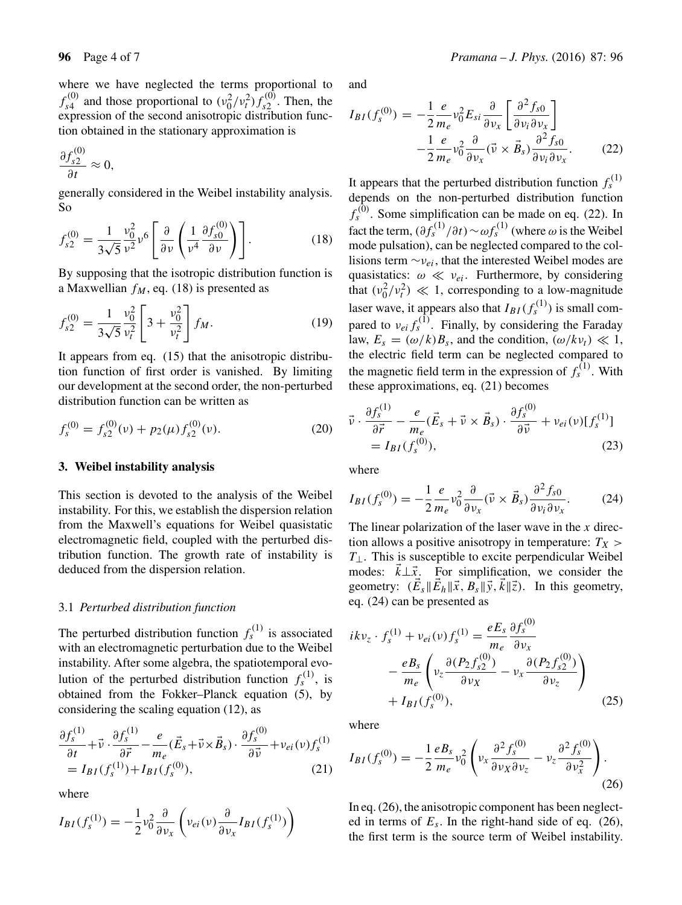where we have neglected the terms proportional to  $f_{s4}^{(0)}$  and those proportional to  $(v_0^2/v_t^2) f_{s2}^{(0)}$ . Then, the expression of the second anisotropic distribution function obtained in the stationary approximation is

$$
\frac{\partial f_{s2}^{(0)}}{\partial t} \approx 0,
$$

generally considered in the Weibel instability analysis. So

$$
f_{s2}^{(0)} = \frac{1}{3\sqrt{5}} \frac{v_0^2}{v^2} v^6 \left[ \frac{\partial}{\partial v} \left( \frac{1}{v^4} \frac{\partial f_{s0}^{(0)}}{\partial v} \right) \right].
$$
 (18)

By supposing that the isotropic distribution function is a Maxwellian  $f_M$ , eq. (18) is presented as

$$
f_{s2}^{(0)} = \frac{1}{3\sqrt{5}} \frac{v_0^2}{v_t^2} \left[ 3 + \frac{v_0^2}{v_t^2} \right] f_M.
$$
 (19)

It appears from eq. (15) that the anisotropic distribution function of first order is vanished. By limiting our development at the second order, the non-perturbed distribution function can be written as

$$
f_s^{(0)} = f_{s2}^{(0)}(\nu) + p_2(\mu) f_{s2}^{(0)}(\nu). \tag{20}
$$

#### **3. Weibel instability analysis**

This section is devoted to the analysis of the Weibel instability. For this, we establish the dispersion relation from the Maxwell's equations for Weibel quasistatic electromagnetic field, coupled with the perturbed distribution function. The growth rate of instability is deduced from the dispersion relation.

#### 3.1 *Perturbed distribution function*

The perturbed distribution function  $f_s^{(1)}$  is associated with an electromagnetic perturbation due to the Weibel instability. After some algebra, the spatiotemporal evolution of the perturbed distribution function  $f_s^{(1)}$ , is obtained from the Fokker–Planck equation (5), by considering the scaling equation (12), as

$$
\frac{\partial f_s^{(1)}}{\partial t} + \vec{v} \cdot \frac{\partial f_s^{(1)}}{\partial \vec{r}} - \frac{e}{m_e} (\vec{E}_s + \vec{v} \times \vec{B}_s) \cdot \frac{\partial f_s^{(0)}}{\partial \vec{v}} + v_{ei}(v) f_s^{(1)} \n= I_{BI}(f_s^{(1)}) + I_{BI}(f_s^{(0)}),
$$
\n(21)

where

$$
I_{BI}(f_s^{(1)}) = -\frac{1}{2}v_0^2 \frac{\partial}{\partial v_x} \left( v_{ei}(v) \frac{\partial}{\partial v_x} I_{BI}(f_s^{(1)}) \right)
$$

and

$$
I_{BI}(f_s^{(0)}) = -\frac{1}{2} \frac{e}{m_e} v_0^2 E_{si} \frac{\partial}{\partial v_x} \left[ \frac{\partial^2 f_{s0}}{\partial v_i \partial v_x} \right] -\frac{1}{2} \frac{e}{m_e} v_0^2 \frac{\partial}{\partial v_x} (\vec{v} \times \vec{B}_s) \frac{\partial^2 f_{s0}}{\partial v_i \partial v_x}.
$$
 (22)

It appears that the perturbed distribution function  $f_s^{(1)}$ depends on the non-perturbed distribution function  $f_s^{(0)}$ . Some simplification can be made on eq. (22). In fact the term,  $(\partial f_s^{(1)}/\partial t) \sim \omega f_s^{(1)}$  (where  $\omega$  is the Weibel mode pulsation), can be neglected compared to the collisions term  $\sim v_{ei}$ , that the interested Weibel modes are quasistatics:  $\omega \ll v_{ei}$ . Furthermore, by considering that  $(v_0^2/v_t^2) \ll 1$ , corresponding to a low-magnitude laser wave, it appears also that  $I_{BI}(f_s^{(1)})$  is small compared to  $v_{ei} f_s^{(1)}$ . Finally, by considering the Faraday law,  $E_s = (\omega/k)B_s$ , and the condition,  $(\omega/kv_t) \ll 1$ , the electric field term can be neglected compared to the magnetic field term in the expression of  $f_s^{(1)}$ . With these approximations, eq. (21) becomes

$$
\vec{v} \cdot \frac{\partial f_s^{(1)}}{\partial \vec{r}} - \frac{e}{m_e} (\vec{E}_s + \vec{v} \times \vec{B}_s) \cdot \frac{\partial f_s^{(0)}}{\partial \vec{v}} + v_{ei}(v) [f_s^{(1)}] \n= I_{BI}(f_s^{(0)}),
$$
\n(23)

where

$$
I_{BI}(f_s^{(0)}) = -\frac{1}{2} \frac{e}{m_e} v_0^2 \frac{\partial}{\partial v_x} (\vec{v} \times \vec{B}_s) \frac{\partial^2 f_{s0}}{\partial v_i \partial v_x}.
$$
 (24)

The linear polarization of the laser wave in the  $x$  direction allows a positive anisotropy in temperature:  $T_X$  >  $T_{\perp}$ . This is susceptible to excite perpendicular Weibel modes:  $k\perp \vec{x}$ . For simplification, we consider the geometry:  $(E_s || E_h || \vec{x}, B_s || \vec{y}, \vec{k} || \vec{z})$ . In this geometry, eq. (24) can be presented as

$$
ik\nu_z \cdot f_s^{(1)} + \nu_{ei}(\nu) f_s^{(1)} = \frac{eE_s}{m_e} \frac{\partial f_s^{(0)}}{\partial \nu_x} -\frac{eB_s}{m_e} \left( \nu_z \frac{\partial (P_2 f_{s2}^{(0)})}{\partial \nu_x} - \nu_x \frac{\partial (P_2 f_{s2}^{(0)})}{\partial \nu_z} \right) + I_{BI}(f_s^{(0)}),
$$
(25)

where

$$
I_{BI}(f_s^{(0)}) = -\frac{1}{2} \frac{e B_s}{m_e} v_0^2 \left( v_x \frac{\partial^2 f_s^{(0)}}{\partial v_x \partial v_z} - v_z \frac{\partial^2 f_s^{(0)}}{\partial v_x^2} \right).
$$
\n(26)

In eq. (26), the anisotropic component has been neglected in terms of  $E_s$ . In the right-hand side of eq. (26), the first term is the source term of Weibel instability.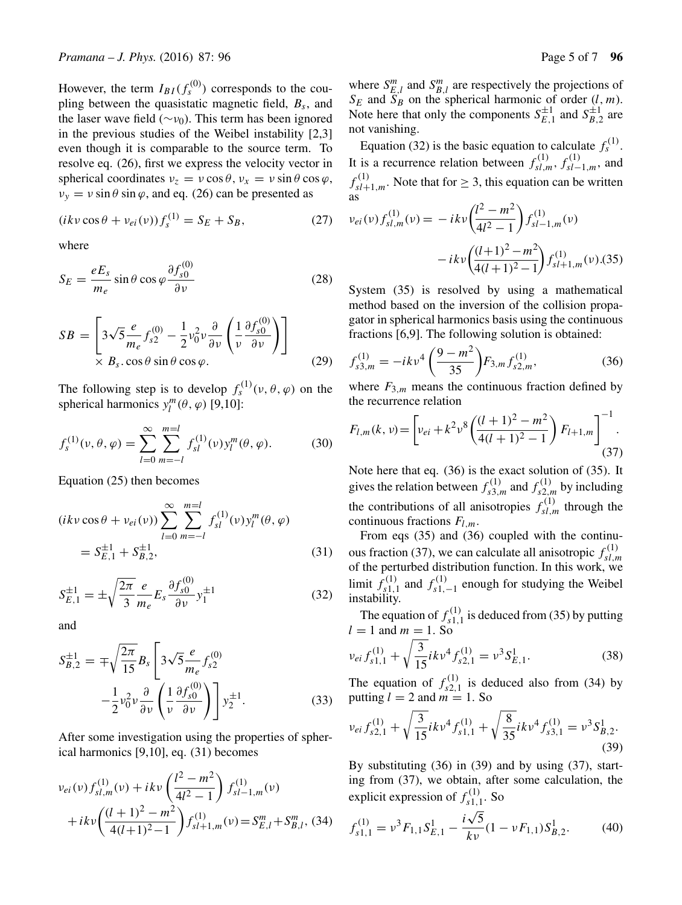However, the term  $I_{BI}(f_s^{(0)})$  corresponds to the coupling between the quasistatic magnetic field,  $B_s$ , and the laser wave field ( $\sim v_0$ ). This term has been ignored in the previous studies of the Weibel instability [2,3] even though it is comparable to the source term. To resolve eq. (26), first we express the velocity vector in spherical coordinates  $v_z = v \cos \theta$ ,  $v_x = v \sin \theta \cos \varphi$ ,  $v_y = v \sin \theta \sin \varphi$ , and eq. (26) can be presented as

$$
(ikv \cos \theta + v_{ei}(v)) f_s^{(1)} = S_E + S_B,
$$
 (27)

where

$$
S_E = \frac{eE_s}{m_e} \sin \theta \cos \varphi \frac{\partial f_{s0}^{(0)}}{\partial \nu}
$$
 (28)

$$
SB = \left[3\sqrt{5}\frac{e}{m_e}f_{s2}^{(0)} - \frac{1}{2}v_0^2v\frac{\partial}{\partial v}\left(\frac{1}{v}\frac{\partial f_{s0}^{(0)}}{\partial v}\right)\right]
$$
  
×  $B_s \cdot \cos\theta \sin\theta \cos\varphi$ . (29)

The following step is to develop  $f_s^{(1)}(\nu, \theta, \varphi)$  on the spherical harmonics  $y_l^m(\theta, \varphi)$  [9,10]:

$$
f_s^{(1)}(\nu,\theta,\varphi) = \sum_{l=0}^{\infty} \sum_{m=-l}^{m=l} f_{sl}^{(1)}(\nu) y_l^m(\theta,\varphi).
$$
 (30)

Equation (25) then becomes

$$
(ik\upsilon\cos\theta + \upsilon_{ei}(\upsilon)) \sum_{l=0}^{\infty} \sum_{m=-l}^{m=l} f_{sl}^{(1)}(\upsilon) y_l^m(\theta, \varphi)
$$
  
=  $S_{E,1}^{\pm 1} + S_{B,2}^{\pm 1}$ , (31)

$$
S_{E,1}^{\pm 1} = \pm \sqrt{\frac{2\pi}{3}} \frac{e}{m_e} E_s \frac{\partial f_{s0}^{(0)}}{\partial v} y_1^{\pm 1}
$$
 (32)

and

$$
S_{B,2}^{\pm 1} = \mp \sqrt{\frac{2\pi}{15}} B_s \left[ 3\sqrt{5} \frac{e}{m_e} f_{s2}^{(0)} - \frac{1}{2} v_0^2 v \frac{\partial}{\partial v} \left( \frac{1}{v} \frac{\partial f_{s0}^{(0)}}{\partial v} \right) \right] y_2^{\pm 1}.
$$
 (33)

After some investigation using the properties of spherical harmonics [9,10], eq. (31) becomes

$$
\nu_{ei}(\nu) f_{sl,m}^{(1)}(\nu) + ik\nu \left(\frac{l^2 - m^2}{4l^2 - 1}\right) f_{sl-1,m}^{(1)}(\nu) + ik\nu \left(\frac{(l+1)^2 - m^2}{4(l+1)^2 - 1}\right) f_{sl+1,m}^{(1)}(\nu) = S_{E,l}^m + S_{B,l}^m, (34)
$$

where  $S_{E,l}^m$  and  $S_{B,l}^m$  are respectively the projections of  $S_E$  and  $S_B$  on the spherical harmonic of order  $(l, m)$ . Note here that only the components  $S_{E,1}^{\pm 1}$  and  $S_{B,2}^{\pm 1}$  are not vanishing.

Equation (32) is the basic equation to calculate  $f_s^{(1)}$ . It is a recurrence relation between  $f_{sl,m}^{(1)}$ ,  $f_{sl-1,m}^{(1)}$ , and  $f_{sl+1,m}^{(1)}$ . Note that for  $\geq 3$ , this equation can be written as

$$
\nu_{ei}(\nu) f_{sl,m}^{(1)}(\nu) = -ik\nu \left(\frac{l^2 - m^2}{4l^2 - 1}\right) f_{sl-1,m}^{(1)}(\nu) \n-ik\nu \left(\frac{(l+1)^2 - m^2}{4(l+1)^2 - 1}\right) f_{sl+1,m}^{(1)}(\nu)
$$
 (35)

System (35) is resolved by using a mathematical method based on the inversion of the collision propagator in spherical harmonics basis using the continuous fractions [6,9]. The following solution is obtained:

$$
f_{s3,m}^{(1)} = -ik\nu^4 \left(\frac{9-m^2}{35}\right) F_{3,m} f_{s2,m}^{(1)},
$$
 (36)

where  $F_{3,m}$  means the continuous fraction defined by the recurrence relation

$$
F_{l,m}(k,\nu) = \left[\nu_{ei} + k^2 \nu^8 \left(\frac{(l+1)^2 - m^2}{4(l+1)^2 - 1}\right) F_{l+1,m}\right]^{-1}.
$$
\n(37)

Note here that eq. (36) is the exact solution of (35). It gives the relation between  $f_{s3,m}^{(1)}$  and  $f_{s2,m}^{(1)}$  by including the contributions of all anisotropies  $f_{sl,m}^{(1)}$  through the continuous fractions  $F_{l,m}$ .

From eqs (35) and (36) coupled with the continuous fraction (37), we can calculate all anisotropic  $f_{sl,m}^{(1)}$  of the perturbed distribution function. In this work, we limit  $f_{s1,1}^{(1)}$  and  $f_{s1,-1}^{(1)}$  enough for studying the Weibel instability.

The equation of  $f_{s1,1}^{(1)}$  is deduced from (35) by putting  $l = 1$  and  $m = 1$ . So

$$
\nu_{ei} f_{s1,1}^{(1)} + \sqrt{\frac{3}{15}} i k \nu^4 f_{s2,1}^{(1)} = \nu^3 S_{E,1}^1. \tag{38}
$$

The equation of  $f_{s2,1}^{(1)}$  is deduced also from (34) by putting  $l = 2$  and  $m = 1$ . So

$$
\nu_{ei} f_{s2,1}^{(1)} + \sqrt{\frac{3}{15}} i k \nu^4 f_{s1,1}^{(1)} + \sqrt{\frac{8}{35}} i k \nu^4 f_{s3,1}^{(1)} = \nu^3 S_{B,2}^1. \tag{39}
$$

By substituting (36) in (39) and by using (37), starting from (37), we obtain, after some calculation, the explicit expression of  $f_{s1,1}^{(1)}$ . So

$$
f_{s1,1}^{(1)} = \nu^3 F_{1,1} S_{E,1}^1 - \frac{i\sqrt{5}}{k\nu} (1 - \nu F_{1,1}) S_{B,2}^1.
$$
 (40)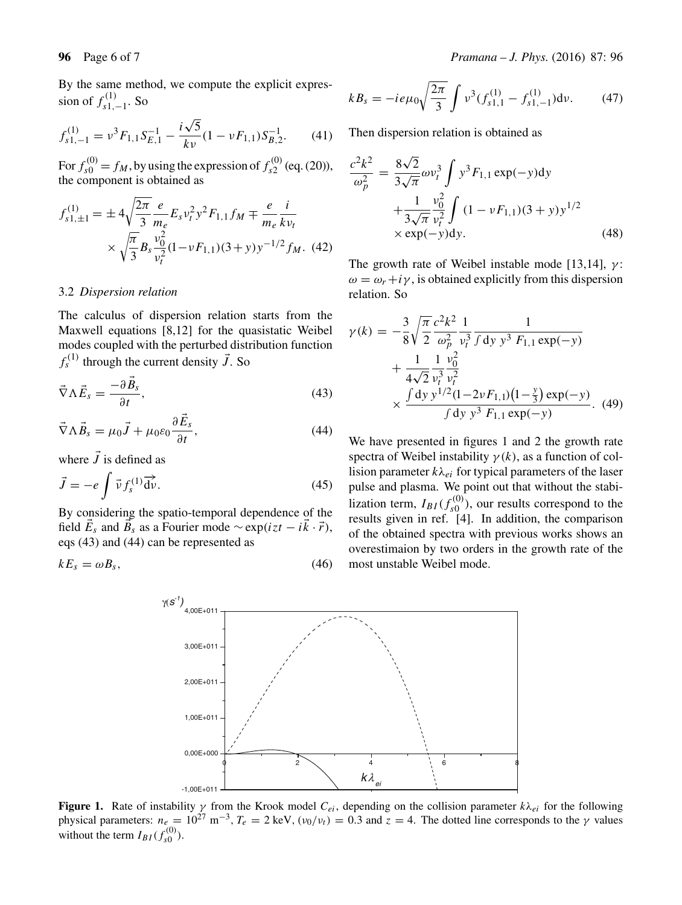By the same method, we compute the explicit expression of  $f_{s1,-1}^{(1)}$ . So

$$
f_{s1,-1}^{(1)} = \nu^3 F_{1,1} S_{E,1}^{-1} - \frac{i\sqrt{5}}{k\nu} (1 - \nu F_{1,1}) S_{B,2}^{-1}.
$$
 (41)

For  $f_{s0}^{(0)} = f_M$ , by using the expression of  $f_{s2}^{(0)}$  (eq. (20)), the component is obtained as

$$
f_{s1,\pm 1}^{(1)} = \pm 4\sqrt{\frac{2\pi}{3}} \frac{e}{m_e} E_s v_t^2 y^2 F_{1,1} f_M \mp \frac{e}{m_e} \frac{i}{k v_t}
$$
  
 
$$
\times \sqrt{\frac{\pi}{3}} B_s \frac{v_0^2}{v_t^2} (1 - v F_{1,1}) (3 + y) y^{-1/2} f_M. (42)
$$

### 3.2 *Dispersion relation*

The calculus of dispersion relation starts from the Maxwell equations [8,12] for the quasistatic Weibel modes coupled with the perturbed distribution function  $f_s^{(1)}$  through the current density  $\vec{J}$ . So

$$
\vec{\nabla}\Lambda \vec{E}_s = \frac{-\partial \vec{B}_s}{\partial t},\tag{43}
$$

$$
\vec{\nabla}\Lambda \vec{B}_s = \mu_0 \vec{J} + \mu_0 \varepsilon_0 \frac{\partial \vec{E}_s}{\partial t},
$$
\n(44)

where  $\vec{J}$  is defined as

$$
\vec{J} = -e \int \vec{v} f_s^{(1)} \vec{dv}.
$$
 (45)

By considering the spatio-temporal dependence of the field  $\vec{E}_s$  and  $\vec{B}_s$  as a Fourier mode  $\sim \exp(izt - i\vec{k} \cdot \vec{r})$ , eqs (43) and (44) can be represented as

$$
kE_s = \omega B_s,\tag{46}
$$

$$
kB_s = -ie\mu_0\sqrt{\frac{2\pi}{3}}\int v^3(f_{s1,1}^{(1)} - f_{s1,-1}^{(1)})dv.
$$
 (47)

Then dispersion relation is obtained as

$$
\frac{c^2 k^2}{\omega_p^2} = \frac{8\sqrt{2}}{3\sqrt{\pi}} \omega v_t^3 \int y^3 F_{1,1} \exp(-y) dy \n+ \frac{1}{3\sqrt{\pi}} \frac{v_0^2}{v_t^2} \int (1 - v F_{1,1})(3 + y) y^{1/2} \n\times \exp(-y) dy.
$$
\n(48)

The growth rate of Weibel instable mode [13,14],  $\gamma$ :  $\omega = \omega_r + i\gamma$ , is obtained explicitly from this dispersion relation. So

$$
\gamma(k) = -\frac{3}{8} \sqrt{\frac{\pi}{2}} \frac{c^2 k^2}{\omega_p^2} \frac{1}{v_i^3} \frac{1}{\int dy y^3 F_{1,1} \exp(-y)}
$$
  
+ 
$$
\frac{1}{4\sqrt{2}} \frac{1}{v_i^3} \frac{v_0^2}{v_i^2}
$$
  

$$
\times \frac{\int dy y^{1/2} (1 - 2vF_{1,1})(1 - \frac{y}{3}) \exp(-y)}{\int dy y^3 F_{1,1} \exp(-y)}.
$$
 (49)

We have presented in figures 1 and 2 the growth rate spectra of Weibel instability  $\gamma(k)$ , as a function of collision parameter  $k\lambda_{ei}$  for typical parameters of the laser pulse and plasma. We point out that without the stabilization term,  $I_{BI}(f_{s0}^{(0)})$ , our results correspond to the results given in ref. [4]. In addition, the comparison of the obtained spectra with previous works shows an overestimaion by two orders in the growth rate of the most unstable Weibel mode.



**Figure 1.** Rate of instability  $\gamma$  from the Krook model  $C_{ei}$ , depending on the collision parameter  $k\lambda_{ei}$  for the following physical parameters:  $n_e = 10^{27} \text{ m}^{-3}$ ,  $T_e = 2 \text{ keV}$ ,  $(v_0/v_t) = 0.3$  and  $z = 4$ . The dotted line corresponds to the  $\gamma$  values without the term  $I_{BI}(f_{s0}^{(0)})$ .